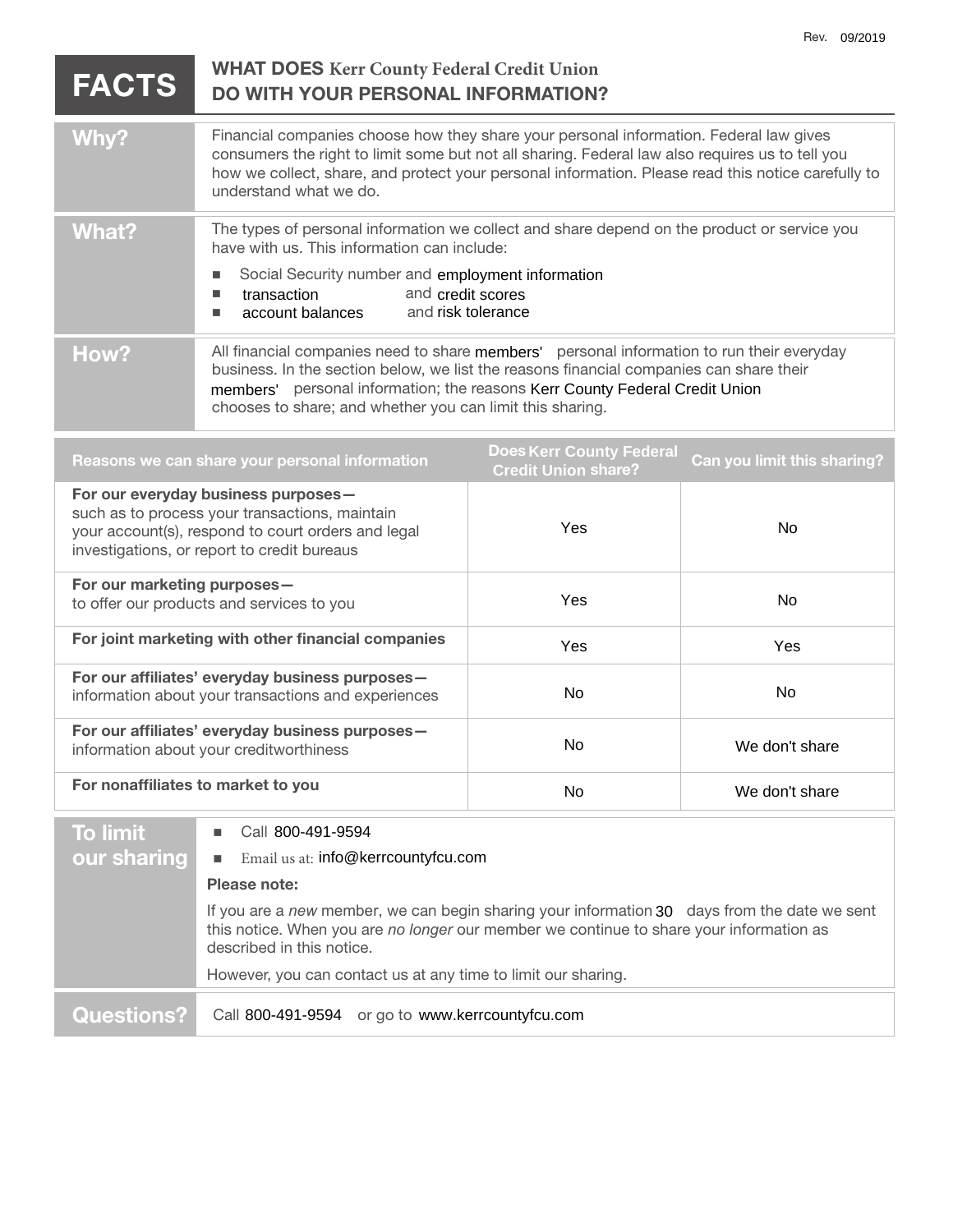| <b>FACTS</b>                                                                                                                                                                               | <b>WHAT DOES Kerr County Federal Credit Union</b><br><b>DO WITH YOUR PERSONAL INFORMATION?</b>                                                                                                                                                                                                                                   |                    |                |
|--------------------------------------------------------------------------------------------------------------------------------------------------------------------------------------------|----------------------------------------------------------------------------------------------------------------------------------------------------------------------------------------------------------------------------------------------------------------------------------------------------------------------------------|--------------------|----------------|
| Why?                                                                                                                                                                                       | Financial companies choose how they share your personal information. Federal law gives<br>consumers the right to limit some but not all sharing. Federal law also requires us to tell you<br>how we collect, share, and protect your personal information. Please read this notice carefully to<br>understand what we do.        |                    |                |
| <b>What?</b>                                                                                                                                                                               | The types of personal information we collect and share depend on the product or service you<br>have with us. This information can include:                                                                                                                                                                                       |                    |                |
|                                                                                                                                                                                            | Social Security number and employment information<br>and credit scores<br>transaction<br>L.<br>account balances<br>L.                                                                                                                                                                                                            | and risk tolerance |                |
| How?                                                                                                                                                                                       | All financial companies need to share members' personal information to run their everyday<br>business. In the section below, we list the reasons financial companies can share their<br>members' personal information; the reasons Kerr County Federal Credit Union<br>chooses to share; and whether you can limit this sharing. |                    |                |
| <b>Does Kerr County Federal</b><br>Can you limit this sharing?<br>Reasons we can share your personal information<br><b>Credit Union share?</b>                                             |                                                                                                                                                                                                                                                                                                                                  |                    |                |
| For our everyday business purposes-<br>such as to process your transactions, maintain<br>your account(s), respond to court orders and legal<br>investigations, or report to credit bureaus |                                                                                                                                                                                                                                                                                                                                  | Yes                | No             |
| For our marketing purposes-<br>to offer our products and services to you                                                                                                                   |                                                                                                                                                                                                                                                                                                                                  | Yes                | <b>No</b>      |
| For joint marketing with other financial companies                                                                                                                                         |                                                                                                                                                                                                                                                                                                                                  | Yes                | Yes            |
| For our affiliates' everyday business purposes-<br>information about your transactions and experiences                                                                                     |                                                                                                                                                                                                                                                                                                                                  | No                 | No             |
| For our affiliates' everyday business purposes-<br>information about your creditworthiness                                                                                                 |                                                                                                                                                                                                                                                                                                                                  | No                 | We don't share |
| For nonaffiliates to market to you                                                                                                                                                         |                                                                                                                                                                                                                                                                                                                                  | No                 | We don't share |
| <b>To limit</b>                                                                                                                                                                            | Call 800-491-9594<br>п                                                                                                                                                                                                                                                                                                           |                    |                |
| our sharing                                                                                                                                                                                | Email us at: info@kerrcountyfcu.com<br>L.                                                                                                                                                                                                                                                                                        |                    |                |
|                                                                                                                                                                                            | Please note:                                                                                                                                                                                                                                                                                                                     |                    |                |
|                                                                                                                                                                                            | If you are a new member, we can begin sharing your information 30 days from the date we sent<br>this notice. When you are no longer our member we continue to share your information as<br>described in this notice.                                                                                                             |                    |                |
| However, you can contact us at any time to limit our sharing.                                                                                                                              |                                                                                                                                                                                                                                                                                                                                  |                    |                |

**Questions?** Call 800-491-9594 or go to www.kerrcountyfcu.com